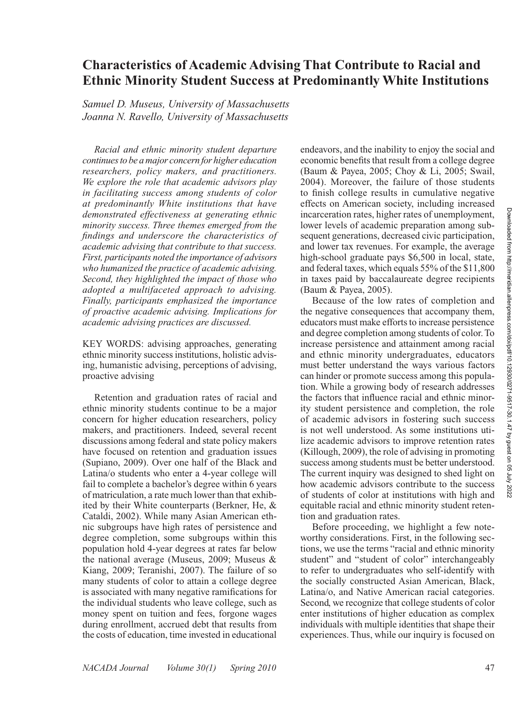# **Characteristics of Academic Advising That Contribute to Racial and Ethnic Minority Student Success at Predominantly White Institutions**

*Samuel D. Museus, University of Massachusetts Joanna N. Ravello, University of Massachusetts*

*Racial and ethnic minority student departure continues to be a major concern for higher education researchers, policy makers, and practitioners. We explore the role that academic advisors play in facilitating success among students of color at predominantly White institutions that have demonstrated effectiveness at generating ethnic minority success. Three themes emerged from the findings and underscore the characteristics of academic advising that contribute to that success. First, participants noted the importance of advisors who humanized the practice of academic advising. Second, they highlighted the impact of those who adopted a multifaceted approach to advising. Finally, participants emphasized the importance of proactive academic advising. Implications for academic advising practices are discussed.*

KEY WORDS: advising approaches, generating ethnic minority success institutions, holistic advising, humanistic advising, perceptions of advising, proactive advising

Retention and graduation rates of racial and ethnic minority students continue to be a major concern for higher education researchers, policy makers, and practitioners. Indeed, several recent discussions among federal and state policy makers have focused on retention and graduation issues (Supiano, 2009). Over one half of the Black and Latina/o students who enter a 4-year college will fail to complete a bachelor's degree within 6 years of matriculation, a rate much lower than that exhibited by their White counterparts (Berkner, He, & Cataldi, 2002). While many Asian American ethnic subgroups have high rates of persistence and degree completion, some subgroups within this population hold 4-year degrees at rates far below the national average (Museus, 2009; Museus & Kiang, 2009; Teranishi, 2007). The failure of so many students of color to attain a college degree is associated with many negative ramifications for the individual students who leave college, such as money spent on tuition and fees, forgone wages during enrollment, accrued debt that results from the costs of education, time invested in educational

endeavors, and the inability to enjoy the social and economic benefits that result from a college degree (Baum & Payea, 2005; Choy & Li, 2005; Swail, 2004). Moreover, the failure of those students to finish college results in cumulative negative effects on American society, including increased incarceration rates, higher rates of unemployment, lower levels of academic preparation among subsequent generations, decreased civic participation, and lower tax revenues. For example, the average high-school graduate pays \$6,500 in local, state, and federal taxes, which equals 55% of the \$11,800 in taxes paid by baccalaureate degree recipients (Baum & Payea, 2005).

Because of the low rates of completion and the negative consequences that accompany them, educators must make efforts to increase persistence and degree completion among students of color. To increase persistence and attainment among racial and ethnic minority undergraduates, educators must better understand the ways various factors can hinder or promote success among this population. While a growing body of research addresses the factors that influence racial and ethnic minority student persistence and completion, the role of academic advisors in fostering such success is not well understood. As some institutions utilize academic advisors to improve retention rates (Killough, 2009), the role of advising in promoting success among students must be better understood. The current inquiry was designed to shed light on how academic advisors contribute to the success of students of color at institutions with high and equitable racial and ethnic minority student retention and graduation rates.

Before proceeding, we highlight a few noteworthy considerations. First, in the following sections, we use the terms "racial and ethnic minority student" and "student of color" interchangeably to refer to undergraduates who self-identify with the socially constructed Asian American, Black, Latina/o, and Native American racial categories. Second, we recognize that college students of color enter institutions of higher education as complex individuals with multiple identities that shape their experiences. Thus, while our inquiry is focused on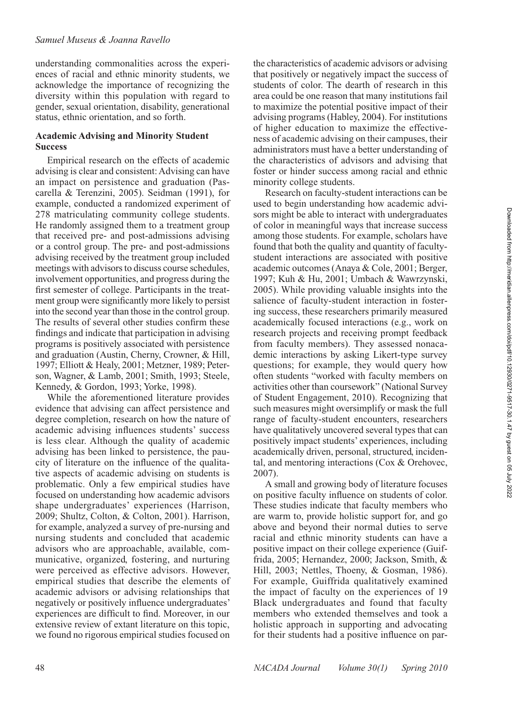understanding commonalities across the experiences of racial and ethnic minority students, we acknowledge the importance of recognizing the diversity within this population with regard to gender, sexual orientation, disability, generational status, ethnic orientation, and so forth.

#### **Academic Advising and Minority Student Success**

Empirical research on the effects of academic advising is clear and consistent: Advising can have an impact on persistence and graduation (Pascarella & Terenzini, 2005). Seidman (1991), for example, conducted a randomized experiment of 278 matriculating community college students. He randomly assigned them to a treatment group that received pre- and post-admissions advising or a control group. The pre- and post-admissions advising received by the treatment group included meetings with advisors to discuss course schedules, involvement opportunities, and progress during the first semester of college. Participants in the treatment group were significantly more likely to persist into the second year than those in the control group. The results of several other studies confirm these findings and indicate that participation in advising programs is positively associated with persistence and graduation (Austin, Cherny, Crowner, & Hill, 1997; Elliott & Healy, 2001; Metzner, 1989; Peterson, Wagner, & Lamb, 2001; Smith, 1993; Steele, Kennedy, & Gordon, 1993; Yorke, 1998).

While the aforementioned literature provides evidence that advising can affect persistence and degree completion, research on how the nature of academic advising influences students' success is less clear. Although the quality of academic advising has been linked to persistence, the paucity of literature on the influence of the qualitative aspects of academic advising on students is problematic. Only a few empirical studies have focused on understanding how academic advisors shape undergraduates' experiences (Harrison, 2009; Shultz, Colton, & Colton, 2001). Harrison, for example, analyzed a survey of pre-nursing and nursing students and concluded that academic advisors who are approachable, available, communicative, organized, fostering, and nurturing were perceived as effective advisors. However, empirical studies that describe the elements of academic advisors or advising relationships that negatively or positively influence undergraduates' experiences are difficult to find. Moreover, in our extensive review of extant literature on this topic, we found no rigorous empirical studies focused on

the characteristics of academic advisors or advising that positively or negatively impact the success of students of color. The dearth of research in this area could be one reason that many institutions fail to maximize the potential positive impact of their advising programs (Habley, 2004). For institutions of higher education to maximize the effectiveness of academic advising on their campuses, their administrators must have a better understanding of the characteristics of advisors and advising that foster or hinder success among racial and ethnic minority college students.

Research on faculty-student interactions can be used to begin understanding how academic advisors might be able to interact with undergraduates of color in meaningful ways that increase success among those students. For example, scholars have found that both the quality and quantity of facultystudent interactions are associated with positive academic outcomes (Anaya & Cole, 2001; Berger, 1997; Kuh & Hu, 2001; Umbach & Wawrzynski, 2005). While providing valuable insights into the salience of faculty-student interaction in fostering success, these researchers primarily measured academically focused interactions (e.g., work on research projects and receiving prompt feedback from faculty members). They assessed nonacademic interactions by asking Likert-type survey questions; for example, they would query how often students "worked with faculty members on activities other than coursework" (National Survey of Student Engagement, 2010). Recognizing that such measures might oversimplify or mask the full range of faculty-student encounters, researchers have qualitatively uncovered several types that can positively impact students' experiences, including academically driven, personal, structured, incidental, and mentoring interactions (Cox & Orehovec, 2007).

A small and growing body of literature focuses on positive faculty influence on students of color. These studies indicate that faculty members who are warm to, provide holistic support for, and go above and beyond their normal duties to serve racial and ethnic minority students can have a positive impact on their college experience (Guiffrida, 2005; Hernandez, 2000; Jackson, Smith, & Hill, 2003; Nettles, Thoeny, & Gosman, 1986). For example, Guiffrida qualitatively examined the impact of faculty on the experiences of 19 Black undergraduates and found that faculty members who extended themselves and took a holistic approach in supporting and advocating for their students had a positive influence on par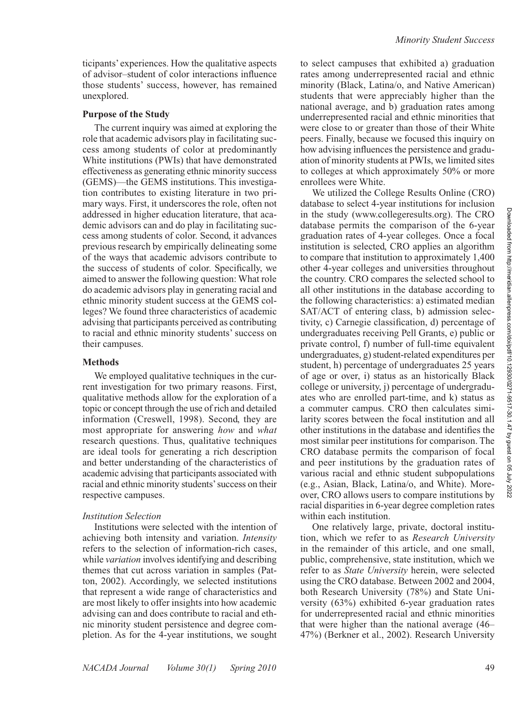ticipants' experiences. How the qualitative aspects of advisor–student of color interactions influence those students' success, however, has remained unexplored.

#### **Purpose of the Study**

The current inquiry was aimed at exploring the role that academic advisors play in facilitating success among students of color at predominantly White institutions (PWIs) that have demonstrated effectiveness as generating ethnic minority success (GEMS)—the GEMS institutions. This investigation contributes to existing literature in two primary ways. First, it underscores the role, often not addressed in higher education literature, that academic advisors can and do play in facilitating success among students of color. Second, it advances previous research by empirically delineating some of the ways that academic advisors contribute to the success of students of color. Specifically, we aimed to answer the following question: What role do academic advisors play in generating racial and ethnic minority student success at the GEMS colleges? We found three characteristics of academic advising that participants perceived as contributing to racial and ethnic minority students' success on their campuses.

#### **Methods**

We employed qualitative techniques in the current investigation for two primary reasons. First, qualitative methods allow for the exploration of a topic or concept through the use of rich and detailed information (Creswell, 1998). Second, they are most appropriate for answering *how* and *what* research questions. Thus, qualitative techniques are ideal tools for generating a rich description and better understanding of the characteristics of academic advising that participants associated with racial and ethnic minority students' success on their respective campuses.

#### *Institution Selection*

Institutions were selected with the intention of achieving both intensity and variation. *Intensity* refers to the selection of information-rich cases, while *variation* involves identifying and describing themes that cut across variation in samples (Patton, 2002). Accordingly, we selected institutions that represent a wide range of characteristics and are most likely to offer insights into how academic advising can and does contribute to racial and ethnic minority student persistence and degree completion. As for the 4-year institutions, we sought to select campuses that exhibited a) graduation rates among underrepresented racial and ethnic minority (Black, Latina/o, and Native American) students that were appreciably higher than the national average, and b) graduation rates among underrepresented racial and ethnic minorities that were close to or greater than those of their White peers. Finally, because we focused this inquiry on how advising influences the persistence and graduation of minority students at PWIs, we limited sites to colleges at which approximately 50% or more enrollees were White.

We utilized the College Results Online (CRO) database to select 4-year institutions for inclusion in the study (www.collegeresults.org). The CRO database permits the comparison of the 6-year graduation rates of 4-year colleges. Once a focal institution is selected, CRO applies an algorithm to compare that institution to approximately 1,400 other 4-year colleges and universities throughout the country. CRO compares the selected school to all other institutions in the database according to the following characteristics: a) estimated median SAT/ACT of entering class, b) admission selectivity, c) Carnegie classification, d) percentage of undergraduates receiving Pell Grants, e) public or private control, f) number of full-time equivalent undergraduates, g) student-related expenditures per student, h) percentage of undergraduates 25 years of age or over, i) status as an historically Black college or university, j) percentage of undergraduates who are enrolled part-time, and k) status as a commuter campus. CRO then calculates similarity scores between the focal institution and all other institutions in the database and identifies the most similar peer institutions for comparison. The CRO database permits the comparison of focal and peer institutions by the graduation rates of various racial and ethnic student subpopulations (e.g., Asian, Black, Latina/o, and White). Moreover, CRO allows users to compare institutions by racial disparities in 6-year degree completion rates within each institution.

One relatively large, private, doctoral institution, which we refer to as *Research University*  in the remainder of this article, and one small, public, comprehensive, state institution, which we refer to as *State University* herein, were selected using the CRO database. Between 2002 and 2004, both Research University (78%) and State University (63%) exhibited 6-year graduation rates for underrepresented racial and ethnic minorities that were higher than the national average (46– 47%) (Berkner et al., 2002). Research University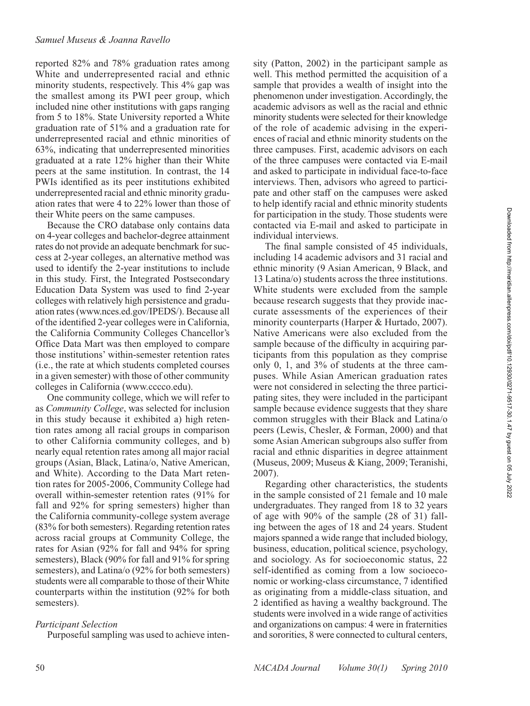reported 82% and 78% graduation rates among White and underrepresented racial and ethnic minority students, respectively. This 4% gap was the smallest among its PWI peer group, which included nine other institutions with gaps ranging from 5 to 18%. State University reported a White graduation rate of 51% and a graduation rate for underrepresented racial and ethnic minorities of 63%, indicating that underrepresented minorities graduated at a rate 12% higher than their White peers at the same institution. In contrast, the 14 PWIs identified as its peer institutions exhibited underrepresented racial and ethnic minority graduation rates that were 4 to 22% lower than those of their White peers on the same campuses.

Because the CRO database only contains data on 4-year colleges and bachelor-degree attainment rates do not provide an adequate benchmark for success at 2-year colleges, an alternative method was used to identify the 2-year institutions to include in this study. First, the Integrated Postsecondary Education Data System was used to find 2-year colleges with relatively high persistence and graduation rates (www.nces.ed.gov/IPEDS/). Because all of the identified 2-year colleges were in California, the California Community Colleges Chancellor's Office Data Mart was then employed to compare those institutions' within-semester retention rates (i.e., the rate at which students completed courses in a given semester) with those of other community colleges in California (www.cccco.edu).

One community college, which we will refer to as *Community College*, was selected for inclusion in this study because it exhibited a) high retention rates among all racial groups in comparison to other California community colleges, and b) nearly equal retention rates among all major racial groups (Asian, Black, Latina/o, Native American, and White). According to the Data Mart retention rates for 2005-2006, Community College had overall within-semester retention rates (91% for fall and 92% for spring semesters) higher than the California community-college system average (83% for both semesters). Regarding retention rates across racial groups at Community College, the rates for Asian (92% for fall and 94% for spring semesters), Black (90% for fall and 91% for spring semesters), and Latina/o (92% for both semesters) students were all comparable to those of their White counterparts within the institution (92% for both semesters).

## *Participant Selection*

Purposeful sampling was used to achieve inten-

sity (Patton, 2002) in the participant sample as well. This method permitted the acquisition of a sample that provides a wealth of insight into the phenomenon under investigation. Accordingly, the academic advisors as well as the racial and ethnic minority students were selected for their knowledge of the role of academic advising in the experiences of racial and ethnic minority students on the three campuses. First, academic advisors on each of the three campuses were contacted via E-mail and asked to participate in individual face-to-face interviews. Then, advisors who agreed to participate and other staff on the campuses were asked to help identify racial and ethnic minority students for participation in the study. Those students were contacted via E-mail and asked to participate in individual interviews.

The final sample consisted of 45 individuals, including 14 academic advisors and 31 racial and ethnic minority (9 Asian American, 9 Black, and 13 Latina/o) students across the three institutions. White students were excluded from the sample because research suggests that they provide inaccurate assessments of the experiences of their minority counterparts (Harper & Hurtado, 2007). Native Americans were also excluded from the sample because of the difficulty in acquiring participants from this population as they comprise only 0, 1, and 3% of students at the three campuses. While Asian American graduation rates were not considered in selecting the three participating sites, they were included in the participant sample because evidence suggests that they share common struggles with their Black and Latina/o peers (Lewis, Chesler, & Forman, 2000) and that some Asian American subgroups also suffer from racial and ethnic disparities in degree attainment (Museus, 2009; Museus & Kiang, 2009; Teranishi, 2007).

Regarding other characteristics, the students in the sample consisted of 21 female and 10 male undergraduates. They ranged from 18 to 32 years of age with 90% of the sample (28 of 31) falling between the ages of 18 and 24 years. Student majors spanned a wide range that included biology, business, education, political science, psychology, and sociology. As for socioeconomic status, 22 self-identified as coming from a low socioeconomic or working-class circumstance, 7 identified as originating from a middle-class situation, and 2 identified as having a wealthy background. The students were involved in a wide range of activities and organizations on campus: 4 were in fraternities and sororities, 8 were connected to cultural centers,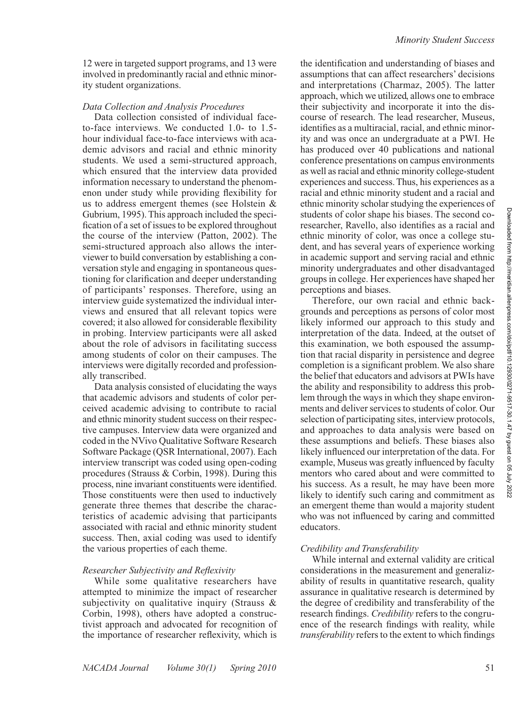12 were in targeted support programs, and 13 were involved in predominantly racial and ethnic minority student organizations.

## *Data Collection and Analysis Procedures*

Data collection consisted of individual faceto-face interviews. We conducted 1.0- to 1.5 hour individual face-to-face interviews with academic advisors and racial and ethnic minority students. We used a semi-structured approach, which ensured that the interview data provided information necessary to understand the phenomenon under study while providing flexibility for us to address emergent themes (see Holstein & Gubrium, 1995). This approach included the specification of a set of issues to be explored throughout the course of the interview (Patton, 2002). The semi-structured approach also allows the interviewer to build conversation by establishing a conversation style and engaging in spontaneous questioning for clarification and deeper understanding of participants' responses. Therefore, using an interview guide systematized the individual interviews and ensured that all relevant topics were covered; it also allowed for considerable flexibility in probing. Interview participants were all asked about the role of advisors in facilitating success among students of color on their campuses. The interviews were digitally recorded and professionally transcribed.

Data analysis consisted of elucidating the ways that academic advisors and students of color perceived academic advising to contribute to racial and ethnic minority student success on their respective campuses. Interview data were organized and coded in the NVivo Qualitative Software Research Software Package (QSR International, 2007). Each interview transcript was coded using open-coding procedures (Strauss & Corbin, 1998). During this process, nine invariant constituents were identified. Those constituents were then used to inductively generate three themes that describe the characteristics of academic advising that participants associated with racial and ethnic minority student success. Then, axial coding was used to identify the various properties of each theme.

# *Researcher Subjectivity and Reflexivity*

While some qualitative researchers have attempted to minimize the impact of researcher subjectivity on qualitative inquiry (Strauss & Corbin, 1998), others have adopted a constructivist approach and advocated for recognition of the importance of researcher reflexivity, which is

the identification and understanding of biases and assumptions that can affect researchers' decisions and interpretations (Charmaz, 2005). The latter approach, which we utilized, allows one to embrace their subjectivity and incorporate it into the discourse of research. The lead researcher, Museus, identifies as a multiracial, racial, and ethnic minority and was once an undergraduate at a PWI. He has produced over 40 publications and national conference presentations on campus environments as well as racial and ethnic minority college-student experiences and success. Thus, his experiences as a racial and ethnic minority student and a racial and ethnic minority scholar studying the experiences of students of color shape his biases. The second coresearcher, Ravello, also identifies as a racial and ethnic minority of color, was once a college student, and has several years of experience working in academic support and serving racial and ethnic minority undergraduates and other disadvantaged groups in college. Her experiences have shaped her perceptions and biases.

Therefore, our own racial and ethnic backgrounds and perceptions as persons of color most likely informed our approach to this study and interpretation of the data. Indeed, at the outset of this examination, we both espoused the assumption that racial disparity in persistence and degree completion is a significant problem. We also share the belief that educators and advisors at PWIs have the ability and responsibility to address this problem through the ways in which they shape environments and deliver services to students of color. Our selection of participating sites, interview protocols, and approaches to data analysis were based on these assumptions and beliefs. These biases also likely influenced our interpretation of the data. For example, Museus was greatly influenced by faculty mentors who cared about and were committed to his success. As a result, he may have been more likely to identify such caring and commitment as an emergent theme than would a majority student who was not influenced by caring and committed educators.

## *Credibility and Transferability*

While internal and external validity are critical considerations in the measurement and generalizability of results in quantitative research, quality assurance in qualitative research is determined by the degree of credibility and transferability of the research findings. *Credibility* refers to the congruence of the research findings with reality, while *transferability* refers to the extent to which findings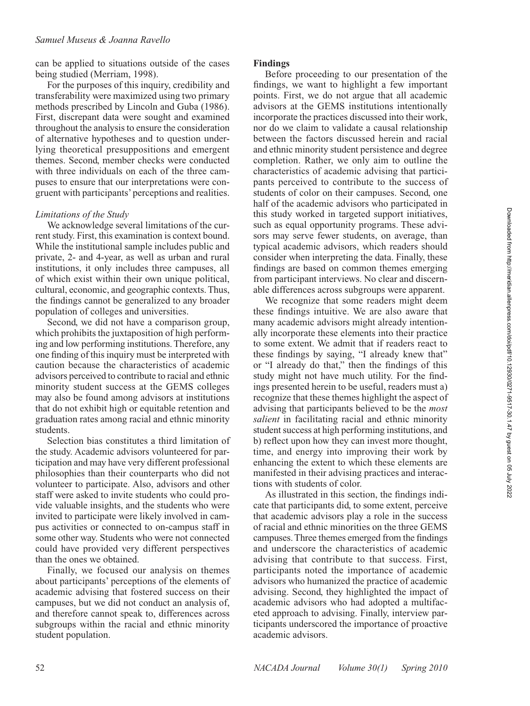## *Samuel Museus & Joanna Ravello*

can be applied to situations outside of the cases being studied (Merriam, 1998).

For the purposes of this inquiry, credibility and transferability were maximized using two primary methods prescribed by Lincoln and Guba (1986). First, discrepant data were sought and examined throughout the analysis to ensure the consideration of alternative hypotheses and to question underlying theoretical presuppositions and emergent themes. Second, member checks were conducted with three individuals on each of the three campuses to ensure that our interpretations were congruent with participants' perceptions and realities.

# *Limitations of the Study*

We acknowledge several limitations of the current study. First, this examination is context bound. While the institutional sample includes public and private, 2- and 4-year, as well as urban and rural institutions, it only includes three campuses, all of which exist within their own unique political, cultural, economic, and geographic contexts. Thus, the findings cannot be generalized to any broader population of colleges and universities.

Second, we did not have a comparison group, which prohibits the juxtaposition of high performing and low performing institutions. Therefore, any one finding of this inquiry must be interpreted with caution because the characteristics of academic advisors perceived to contribute to racial and ethnic minority student success at the GEMS colleges may also be found among advisors at institutions that do not exhibit high or equitable retention and graduation rates among racial and ethnic minority students.

Selection bias constitutes a third limitation of the study. Academic advisors volunteered for participation and may have very different professional philosophies than their counterparts who did not volunteer to participate. Also, advisors and other staff were asked to invite students who could provide valuable insights, and the students who were invited to participate were likely involved in campus activities or connected to on-campus staff in some other way. Students who were not connected could have provided very different perspectives than the ones we obtained.

Finally, we focused our analysis on themes about participants' perceptions of the elements of academic advising that fostered success on their campuses, but we did not conduct an analysis of, and therefore cannot speak to, differences across subgroups within the racial and ethnic minority student population.

#### **Findings**

Before proceeding to our presentation of the findings, we want to highlight a few important points. First, we do not argue that all academic advisors at the GEMS institutions intentionally incorporate the practices discussed into their work, nor do we claim to validate a causal relationship between the factors discussed herein and racial and ethnic minority student persistence and degree completion. Rather, we only aim to outline the characteristics of academic advising that participants perceived to contribute to the success of students of color on their campuses. Second, one half of the academic advisors who participated in this study worked in targeted support initiatives, such as equal opportunity programs. These advisors may serve fewer students, on average, than typical academic advisors, which readers should consider when interpreting the data. Finally, these findings are based on common themes emerging from participant interviews. No clear and discernable differences across subgroups were apparent.

We recognize that some readers might deem these findings intuitive. We are also aware that many academic advisors might already intentionally incorporate these elements into their practice to some extent. We admit that if readers react to these findings by saying, "I already knew that" or "I already do that," then the findings of this study might not have much utility. For the findings presented herein to be useful, readers must a) recognize that these themes highlight the aspect of advising that participants believed to be the *most salient* in facilitating racial and ethnic minority student success at high performing institutions, and b) reflect upon how they can invest more thought, time, and energy into improving their work by enhancing the extent to which these elements are manifested in their advising practices and interactions with students of color.

As illustrated in this section, the findings indicate that participants did, to some extent, perceive that academic advisors play a role in the success of racial and ethnic minorities on the three GEMS campuses. Three themes emerged from the findings and underscore the characteristics of academic advising that contribute to that success. First, participants noted the importance of academic advisors who humanized the practice of academic advising. Second, they highlighted the impact of academic advisors who had adopted a multifaceted approach to advising. Finally, interview participants underscored the importance of proactive academic advisors.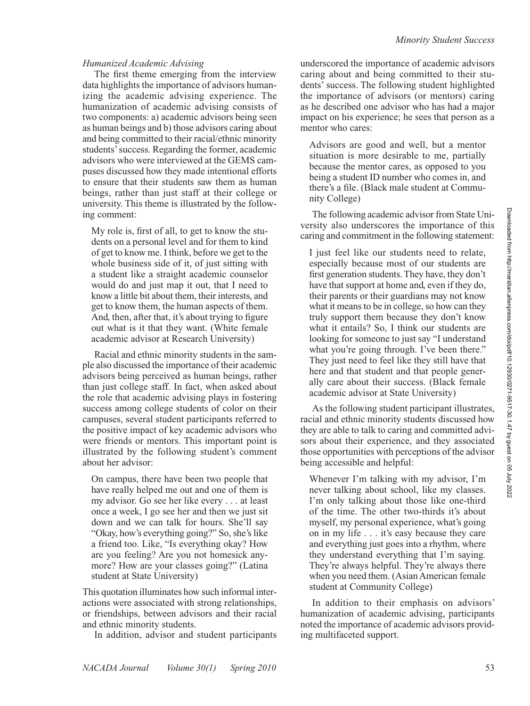The first theme emerging from the interview data highlights the importance of advisors humanizing the academic advising experience. The humanization of academic advising consists of two components: a) academic advisors being seen as human beings and b) those advisors caring about and being committed to their racial/ethnic minority students' success. Regarding the former, academic advisors who were interviewed at the GEMS campuses discussed how they made intentional efforts to ensure that their students saw them as human beings, rather than just staff at their college or university. This theme is illustrated by the following comment:

My role is, first of all, to get to know the students on a personal level and for them to kind of get to know me. I think, before we get to the whole business side of it, of just sitting with a student like a straight academic counselor would do and just map it out, that I need to know a little bit about them, their interests, and get to know them, the human aspects of them. And, then, after that, it's about trying to figure out what is it that they want. (White female academic advisor at Research University)

Racial and ethnic minority students in the sample also discussed the importance of their academic advisors being perceived as human beings, rather than just college staff. In fact, when asked about the role that academic advising plays in fostering success among college students of color on their campuses, several student participants referred to the positive impact of key academic advisors who were friends or mentors. This important point is illustrated by the following student's comment about her advisor:

On campus, there have been two people that have really helped me out and one of them is my advisor. Go see her like every . . . at least once a week, I go see her and then we just sit down and we can talk for hours. She'll say "Okay, how's everything going?" So, she's like a friend too. Like, "Is everything okay? How are you feeling? Are you not homesick anymore? How are your classes going?" (Latina student at State University)

This quotation illuminates how such informal interactions were associated with strong relationships, or friendships, between advisors and their racial and ethnic minority students.

In addition, advisor and student participants

underscored the importance of academic advisors caring about and being committed to their students' success. The following student highlighted the importance of advisors (or mentors) caring as he described one advisor who has had a major impact on his experience; he sees that person as a mentor who cares:

Advisors are good and well, but a mentor situation is more desirable to me, partially because the mentor cares, as opposed to you being a student ID number who comes in, and there's a file. (Black male student at Community College)

The following academic advisor from State University also underscores the importance of this caring and commitment in the following statement:

I just feel like our students need to relate, especially because most of our students are first generation students. They have, they don't have that support at home and, even if they do, their parents or their guardians may not know what it means to be in college, so how can they truly support them because they don't know what it entails? So, I think our students are looking for someone to just say "I understand what you're going through. I've been there." They just need to feel like they still have that here and that student and that people generally care about their success. (Black female academic advisor at State University)

As the following student participant illustrates, racial and ethnic minority students discussed how they are able to talk to caring and committed advisors about their experience, and they associated those opportunities with perceptions of the advisor being accessible and helpful:

Whenever I'm talking with my advisor, I'm never talking about school, like my classes. I'm only talking about those like one-third of the time. The other two-thirds it's about myself, my personal experience, what's going on in my life . . . it's easy because they care and everything just goes into a rhythm, where they understand everything that I'm saying. They're always helpful. They're always there when you need them. (Asian American female student at Community College)

In addition to their emphasis on advisors' humanization of academic advising, participants noted the importance of academic advisors providing multifaceted support.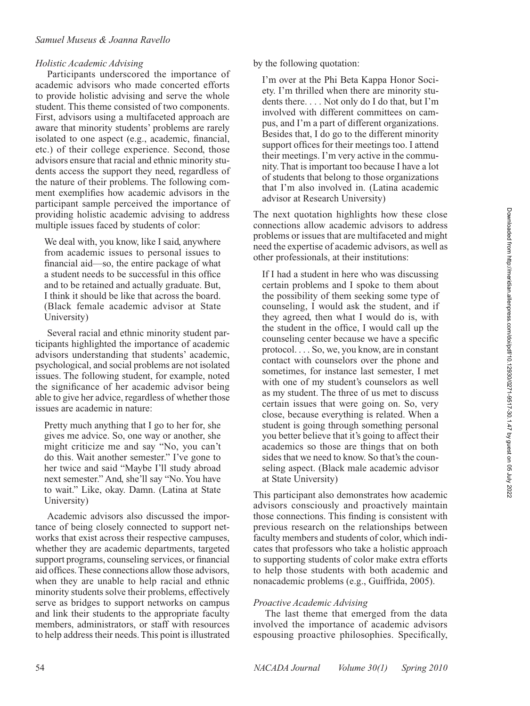## *Holistic Academic Advising*

Participants underscored the importance of academic advisors who made concerted efforts to provide holistic advising and serve the whole student. This theme consisted of two components. First, advisors using a multifaceted approach are aware that minority students' problems are rarely isolated to one aspect (e.g., academic, financial, etc.) of their college experience. Second, those advisors ensure that racial and ethnic minority students access the support they need, regardless of the nature of their problems. The following comment exemplifies how academic advisors in the participant sample perceived the importance of providing holistic academic advising to address multiple issues faced by students of color:

We deal with, you know, like I said, anywhere from academic issues to personal issues to financial aid—so, the entire package of what a student needs to be successful in this office and to be retained and actually graduate. But, I think it should be like that across the board. (Black female academic advisor at State University)

Several racial and ethnic minority student participants highlighted the importance of academic advisors understanding that students' academic, psychological, and social problems are not isolated issues. The following student, for example, noted the significance of her academic advisor being able to give her advice, regardless of whether those issues are academic in nature:

Pretty much anything that I go to her for, she gives me advice. So, one way or another, she might criticize me and say "No, you can't do this. Wait another semester." I've gone to her twice and said "Maybe I'll study abroad next semester." And, she'll say "No. You have to wait." Like, okay. Damn. (Latina at State University)

Academic advisors also discussed the importance of being closely connected to support networks that exist across their respective campuses, whether they are academic departments, targeted support programs, counseling services, or financial aid offices. These connections allow those advisors, when they are unable to help racial and ethnic minority students solve their problems, effectively serve as bridges to support networks on campus and link their students to the appropriate faculty members, administrators, or staff with resources to help address their needs. This point is illustrated

by the following quotation:

I'm over at the Phi Beta Kappa Honor Society. I'm thrilled when there are minority students there. . . . Not only do I do that, but I'm involved with different committees on campus, and I'm a part of different organizations. Besides that, I do go to the different minority support offices for their meetings too. I attend their meetings. I'm very active in the community. That is important too because I have a lot of students that belong to those organizations that I'm also involved in. (Latina academic advisor at Research University)

The next quotation highlights how these close connections allow academic advisors to address problems or issues that are multifaceted and might need the expertise of academic advisors, as well as other professionals, at their institutions:

If I had a student in here who was discussing certain problems and I spoke to them about the possibility of them seeking some type of counseling, I would ask the student, and if they agreed, then what I would do is, with the student in the office, I would call up the counseling center because we have a specific protocol. . . . So, we, you know, are in constant contact with counselors over the phone and sometimes, for instance last semester, I met with one of my student's counselors as well as my student. The three of us met to discuss certain issues that were going on. So, very close, because everything is related. When a student is going through something personal you better believe that it's going to affect their academics so those are things that on both sides that we need to know. So that's the counseling aspect. (Black male academic advisor at State University)

This participant also demonstrates how academic advisors consciously and proactively maintain those connections. This finding is consistent with previous research on the relationships between faculty members and students of color, which indicates that professors who take a holistic approach to supporting students of color make extra efforts to help those students with both academic and nonacademic problems (e.g., Guiffrida, 2005).

## *Proactive Academic Advising*

The last theme that emerged from the data involved the importance of academic advisors espousing proactive philosophies. Specifically,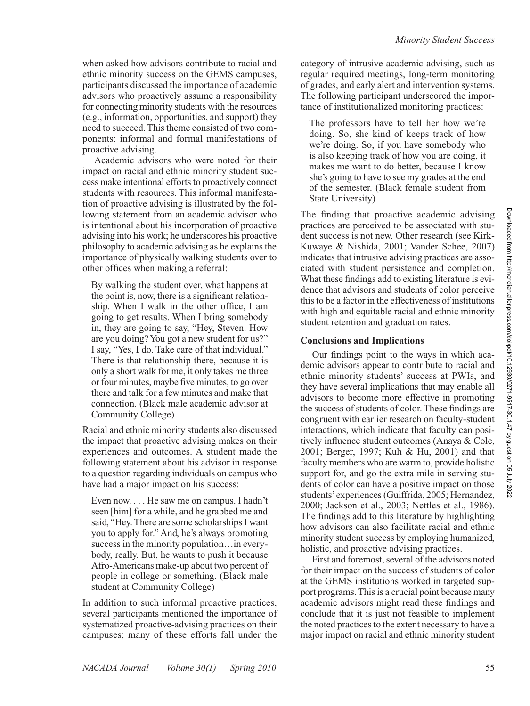when asked how advisors contribute to racial and ethnic minority success on the GEMS campuses, participants discussed the importance of academic advisors who proactively assume a responsibility for connecting minority students with the resources (e.g., information, opportunities, and support) they need to succeed. This theme consisted of two components: informal and formal manifestations of proactive advising.

Academic advisors who were noted for their impact on racial and ethnic minority student success make intentional efforts to proactively connect students with resources. This informal manifestation of proactive advising is illustrated by the following statement from an academic advisor who is intentional about his incorporation of proactive advising into his work; he underscores his proactive philosophy to academic advising as he explains the importance of physically walking students over to other offices when making a referral:

By walking the student over, what happens at the point is, now, there is a significant relationship. When I walk in the other office, I am going to get results. When I bring somebody in, they are going to say, "Hey, Steven. How are you doing? You got a new student for us?" I say, "Yes, I do. Take care of that individual." There is that relationship there, because it is only a short walk for me, it only takes me three or four minutes, maybe five minutes, to go over there and talk for a few minutes and make that connection. (Black male academic advisor at Community College)

Racial and ethnic minority students also discussed the impact that proactive advising makes on their experiences and outcomes. A student made the following statement about his advisor in response to a question regarding individuals on campus who have had a major impact on his success:

Even now. . . . He saw me on campus. I hadn't seen [him] for a while, and he grabbed me and said, "Hey. There are some scholarships I want you to apply for." And, he's always promoting success in the minority population…in everybody, really. But, he wants to push it because Afro-Americans make-up about two percent of people in college or something. (Black male student at Community College)

In addition to such informal proactive practices, several participants mentioned the importance of systematized proactive-advising practices on their campuses; many of these efforts fall under the

category of intrusive academic advising, such as regular required meetings, long-term monitoring of grades, and early alert and intervention systems. The following participant underscored the importance of institutionalized monitoring practices:

The professors have to tell her how we're doing. So, she kind of keeps track of how we're doing. So, if you have somebody who is also keeping track of how you are doing, it makes me want to do better, because I know she's going to have to see my grades at the end of the semester. (Black female student from State University)

The finding that proactive academic advising practices are perceived to be associated with student success is not new. Other research (see Kirk-Kuwaye & Nishida, 2001; Vander Schee, 2007) indicates that intrusive advising practices are associated with student persistence and completion. What these findings add to existing literature is evidence that advisors and students of color perceive this to be a factor in the effectiveness of institutions with high and equitable racial and ethnic minority student retention and graduation rates.

# **Conclusions and Implications**

Our findings point to the ways in which academic advisors appear to contribute to racial and ethnic minority students' success at PWIs, and they have several implications that may enable all advisors to become more effective in promoting the success of students of color. These findings are congruent with earlier research on faculty-student interactions, which indicate that faculty can positively influence student outcomes (Anaya & Cole, 2001; Berger, 1997; Kuh & Hu, 2001) and that faculty members who are warm to, provide holistic support for, and go the extra mile in serving students of color can have a positive impact on those students' experiences (Guiffrida, 2005; Hernandez, 2000; Jackson et al., 2003; Nettles et al., 1986). The findings add to this literature by highlighting how advisors can also facilitate racial and ethnic minority student success by employing humanized, holistic, and proactive advising practices.

First and foremost, several of the advisors noted for their impact on the success of students of color at the GEMS institutions worked in targeted support programs. This is a crucial point because many academic advisors might read these findings and conclude that it is just not feasible to implement the noted practices to the extent necessary to have a major impact on racial and ethnic minority student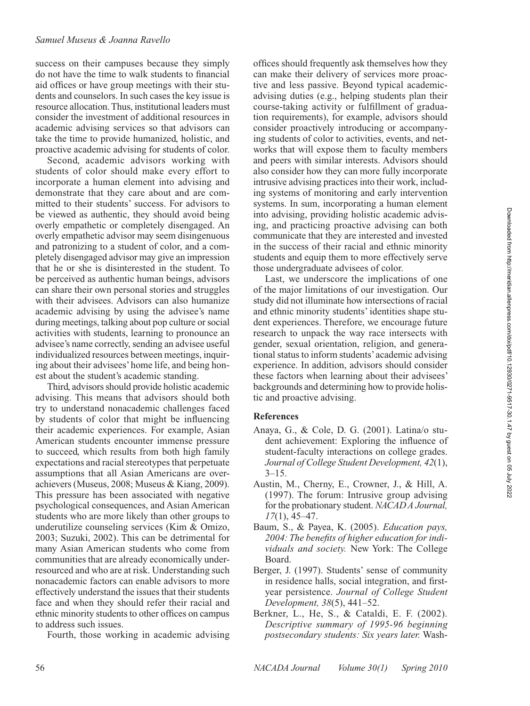success on their campuses because they simply do not have the time to walk students to financial aid offices or have group meetings with their students and counselors. In such cases the key issue is resource allocation. Thus, institutional leaders must consider the investment of additional resources in academic advising services so that advisors can take the time to provide humanized, holistic, and proactive academic advising for students of color.

Second, academic advisors working with students of color should make every effort to incorporate a human element into advising and demonstrate that they care about and are committed to their students' success. For advisors to be viewed as authentic, they should avoid being overly empathetic or completely disengaged. An overly empathetic advisor may seem disingenuous and patronizing to a student of color, and a completely disengaged advisor may give an impression that he or she is disinterested in the student. To be perceived as authentic human beings, advisors can share their own personal stories and struggles with their advisees. Advisors can also humanize academic advising by using the advisee's name during meetings, talking about pop culture or social activities with students, learning to pronounce an advisee's name correctly, sending an advisee useful individualized resources between meetings, inquiring about their advisees' home life, and being honest about the student's academic standing.

Third, advisors should provide holistic academic advising. This means that advisors should both try to understand nonacademic challenges faced by students of color that might be influencing their academic experiences. For example, Asian American students encounter immense pressure to succeed, which results from both high family expectations and racial stereotypes that perpetuate assumptions that all Asian Americans are overachievers (Museus, 2008; Museus & Kiang, 2009). This pressure has been associated with negative psychological consequences, and Asian American students who are more likely than other groups to underutilize counseling services (Kim & Omizo, 2003; Suzuki, 2002). This can be detrimental for many Asian American students who come from communities that are already economically underresourced and who are at risk. Understanding such nonacademic factors can enable advisors to more effectively understand the issues that their students face and when they should refer their racial and ethnic minority students to other offices on campus to address such issues.

Fourth, those working in academic advising

offices should frequently ask themselves how they can make their delivery of services more proactive and less passive. Beyond typical academicadvising duties (e.g., helping students plan their course-taking activity or fulfillment of graduation requirements), for example, advisors should consider proactively introducing or accompanying students of color to activities, events, and networks that will expose them to faculty members and peers with similar interests. Advisors should also consider how they can more fully incorporate intrusive advising practices into their work, including systems of monitoring and early intervention systems. In sum, incorporating a human element into advising, providing holistic academic advising, and practicing proactive advising can both communicate that they are interested and invested in the success of their racial and ethnic minority students and equip them to more effectively serve those undergraduate advisees of color.

Last, we underscore the implications of one of the major limitations of our investigation. Our study did not illuminate how intersections of racial and ethnic minority students' identities shape student experiences. Therefore, we encourage future research to unpack the way race intersects with gender, sexual orientation, religion, and generational status to inform students' academic advising experience. In addition, advisors should consider these factors when learning about their advisees' backgrounds and determining how to provide holistic and proactive advising.

#### **References**

- Anaya, G., & Cole, D. G. (2001). Latina/o student achievement: Exploring the influence of student-faculty interactions on college grades. *Journal of College Student Development, 42*(1),  $3 - 15$ .
- Austin, M., Cherny, E., Crowner, J., & Hill, A. (1997). The forum: Intrusive group advising for the probationary student. *NACAD A Journal, 17*(1), 45–47.
- Baum, S., & Payea, K. (2005). *Education pays, 2004: The benefits of higher education for individuals and society.* New York: The College Board.
- Berger, J. (1997). Students' sense of community in residence halls, social integration, and firstyear persistence. *Journal of College Student Development, 38*(5), 441–52.
- Berkner, L., He, S., & Cataldi, E. F. (2002). *Descriptive summary of 1995-96 beginning postsecondary students: Six years later.* Wash-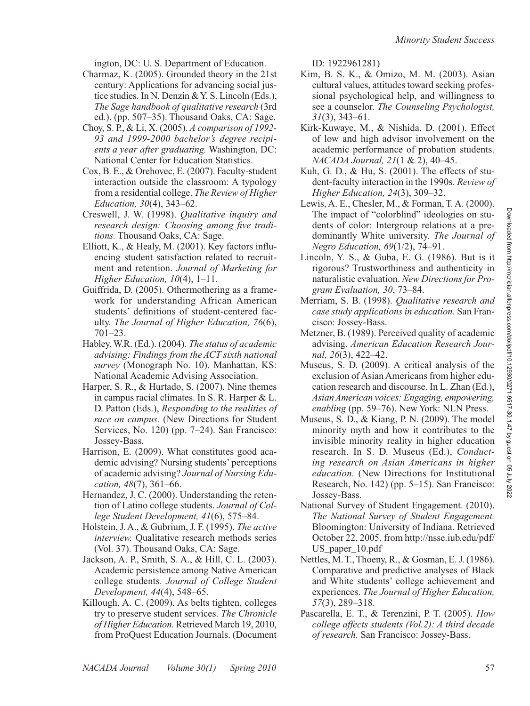ington, DC: U. S. Department of Education.

- Charmaz, K. (2005). Grounded theory in the 21st century: Applications for advancing social justice studies. In N. Denzin & Y. S. Lincoln (Eds.), *The Sage handbook of qualitative research* (3rd ed.). (pp. 507–35). Thousand Oaks, CA: Sage.
- Choy, S. P., & Li, X. (2005). *A comparison of 1992- 93 and 1999-2000 bachelor's degree recipients a year after graduating.* Washington, DC: National Center for Education Statistics.
- Cox, B. E., & Orehovec, E. (2007). Faculty-student interaction outside the classroom: A typology from a residential college. *The Review of Higher Education, 30*(4), 343–62.
- Creswell, J. W. (1998). *Qualitative inquiry and research design: Choosing among five traditions.* Thousand Oaks, CA: Sage.
- Elliott, K., & Healy, M. (2001). Key factors influencing student satisfaction related to recruitment and retention. *Journal of Marketing for Higher Education, 10*(4), 1–11.
- Guiffrida, D. (2005). Othermothering as a framework for understanding African American students' definitions of student-centered faculty. *The Journal of Higher Education, 76*(6), 701–23.
- Habley, W.R. (Ed.). (2004). *The status of academic advising: Findings from the ACT sixth national survey* (Monograph No. 10). Manhattan, KS: National Academic Advising Association.
- Harper, S. R., & Hurtado, S. (2007). Nine themes in campus racial climates. In S. R. Harper & L. D. Patton (Eds.), *Responding to the realities of race on campus.* (New Directions for Student Services, No. 120) (pp. 7–24). San Francisco: Jossey-Bass.
- Harrison, E. (2009). What constitutes good academic advising? Nursing students' perceptions of academic advising? *Journal of Nursing Education, 48*(7), 361–66.
- Hernandez, J. C. (2000). Understanding the retention of Latino college students. *Journal of College Student Development, 41*(6), 575–84.
- Holstein, J. A., & Gubrium, J. F. (1995). *The active interview.* Qualitative research methods series (Vol. 37). Thousand Oaks, CA: Sage.
- Jackson, A. P., Smith, S. A., & Hill, C. L. (2003). Academic persistence among Native American college students. *Journal of College Student Development, 44*(4), 548–65.
- Killough, A. C. (2009). As belts tighten, colleges try to preserve student services. *The Chronicle of Higher Education.* Retrieved March 19, 2010, from ProQuest Education Journals. (Document

ID: 1922961281)

- Kim, B. S. K., & Omizo, M. M. (2003). Asian cultural values, attitudes toward seeking professional psychological help, and willingness to see a counselor. *The Counseling Psychologist, 31*(3), 343–61.
- Kirk-Kuwaye, M., & Nishida, D. (2001). Effect of low and high advisor involvement on the academic performance of probation students. *NACADA Journal, 21*(1 & 2), 40–45.
- Kuh, G. D., & Hu, S. (2001). The effects of student-faculty interaction in the 1990s. *Review of Higher Education, 24*(3), 309–32.
- Lewis, A. E., Chesler, M., & Forman, T. A. (2000). The impact of "colorblind" ideologies on students of color: Intergroup relations at a predominantly White university. *The Journal of Negro Education, 69*(1/2), 74–91.
- Lincoln, Y. S., & Guba, E. G. (1986). But is it rigorous? Trustworthiness and authenticity in naturalistic evaluation. *New Directions for Program Evaluation, 30*, 73–84.
- Merriam, S. B. (1998). *Qualitative research and case study applications in education.* San Francisco: Jossey-Bass.
- Metzner, B. (1989). Perceived quality of academic advising. *American Education Research Journal, 26*(3), 422–42.
- Museus, S. D. (2009). A critical analysis of the exclusion of Asian Americans from higher education research and discourse. In L. Zhan (Ed.), *Asian American voices: Engaging, empowering, enabling* (pp. 59–76). New York: NLN Press.
- Museus, S. D., & Kiang, P. N. (2009). The model minority myth and how it contributes to the invisible minority reality in higher education research. In S. D. Museus (Ed.), *Conducting research on Asian Americans in higher education.* (New Directions for Institutional Research, No. 142) (pp. 5–15). San Francisco: Jossey-Bass.
- National Survey of Student Engagement. (2010). *The National Survey of Student Engagement.*  Bloomington: University of Indiana. Retrieved October 22, 2005, from http://nsse.iub.edu/pdf/ US\_paper\_10.pdf
- Nettles, M. T., Thoeny, R., & Gosman, E. J. (1986). Comparative and predictive analyses of Black and White students' college achievement and experiences. *The Journal of Higher Education, 57*(3), 289–318.
- Pascarella, E. T., & Terenzini, P. T. (2005). *How college affects students (Vol.2): A third decade of research.* San Francisco: Jossey-Bass.